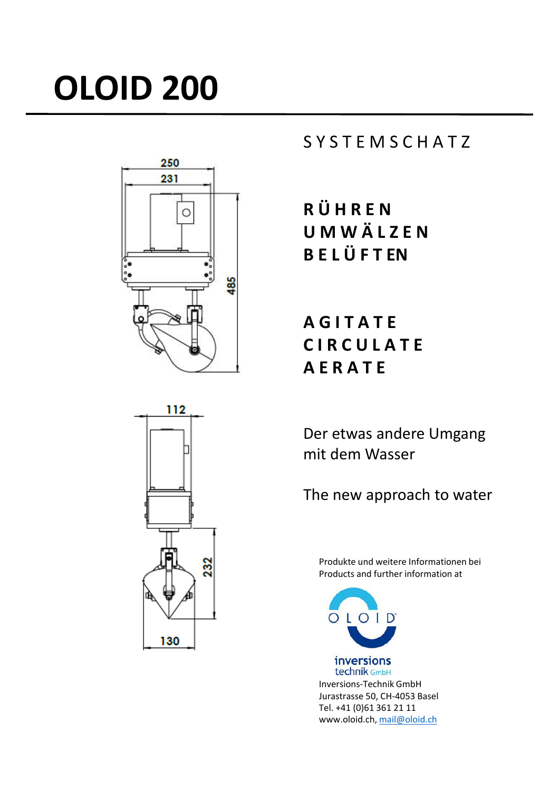# **OLOID 200**



# S Y S T E M S C H A T Z

**R Ü H R E N U M W Ä L Z E N B E L Ü F T EN**

**A G I T A T E C I R C U L A T E A E R A T E**

Der etwas andere Umgang mit dem Wasser

The new approach to water

Produkte und weitere Informationen bei Products and further information at



technik GmbH Inversions-Technik GmbH Jurastrasse 50, CH-4053 Basel Tel. +41 (0)61 361 21 11 www.oloid.ch, mail@oloid.ch

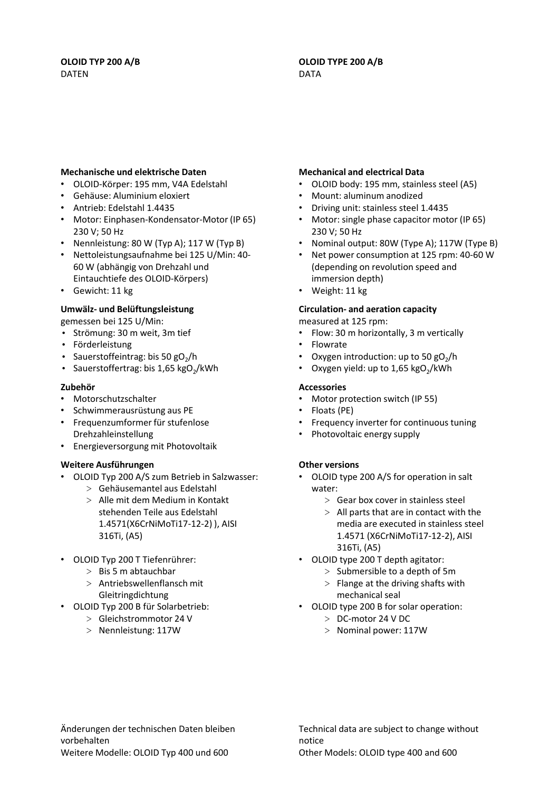# **OLOID TYP 200 A/B** DATEN

#### **OLOID TYPE 200 A/B** DATA

#### **Mechanische und elektrische Daten**

- OLOID-Körper: 195 mm, V4A Edelstahl
- Gehäuse: Aluminium eloxiert
- Antrieb: Edelstahl 1.4435
- Motor: Einphasen-Kondensator-Motor (IP 65) 230 V; 50 Hz
- Nennleistung: 80 W (Typ A); 117 W (Typ B)
- Nettoleistungsaufnahme bei 125 U/Min: 40- 60 W (abhängig von Drehzahl und Eintauchtiefe des OLOID-Körpers)
- Gewicht: 11 kg

### **Umwälz- und Belüftungsleistung**

gemessen bei 125 U/Min:

- Strömung: 30 m weit, 3m tief
- Förderleistung
- Sauerstoffeintrag: bis 50  $gO<sub>2</sub>/h$
- Sauerstoffertrag: bis 1,65  $kgO<sub>2</sub>/kWh$

#### **Zubehör**

- Motorschutzschalter
- Schwimmerausrüstung aus PE
- Frequenzumformer für stufenlose Drehzahleinstellung
- Energieversorgung mit Photovoltaik

#### **Weitere Ausführungen**

- OLOID Typ 200 A/S zum Betrieb in Salzwasser:
	- > Gehäusemantel aus Edelstahl > Alle mit dem Medium in Kontakt stehenden Teile aus Edelstahl 1.4571(X6CrNiMoTi17-12-2) ), AISI 316Ti, (A5)
- OLOID Typ 200 T Tiefenrührer:
	- > Bis 5 m abtauchbar
	- > Antriebswellenflansch mit
	- Gleitringdichtung
- OLOID Typ 200 B für Solarbetrieb:
	- > Gleichstrommotor 24 V
	- > Nennleistung: 117W

#### **Mechanical and electrical Data**

- OLOID body: 195 mm, stainless steel (A5)
- Mount: aluminum anodized
- Driving unit: stainless steel 1.4435
- Motor: single phase capacitor motor (IP 65) 230 V; 50 Hz
- Nominal output: 80W (Type A); 117W (Type B)
- Net power consumption at 125 rpm: 40-60 W (depending on revolution speed and immersion depth)
- Weight: 11 kg

### **Circulation- and aeration capacity**

measured at 125 rpm:

- Flow: 30 m horizontally, 3 m vertically
- Flowrate
- Oxygen introduction: up to 50  $gO<sub>2</sub>/h$
- Oxygen yield: up to  $1,65$  kgO<sub>2</sub>/kWh

### **Accessories**

- Motor protection switch (IP 55)
- Floats (PE)
- Frequency inverter for continuous tuning
- Photovoltaic energy supply

# **Other versions**

- OLOID type 200 A/S for operation in salt water:
	- > Gear box cover in stainless steel
	- $>$  All parts that are in contact with the media are executed in stainless steel 1.4571 (X6CrNiMoTi17-12-2), AISI 316Ti, (A5)
- OLOID type 200 T depth agitator:
	- > Submersible to a depth of 5m
		- $>$  Flange at the driving shafts with mechanical seal
- OLOID type 200 B for solar operation:
	- > DC-motor 24 V DC
	- > Nominal power: 117W

Änderungen der technischen Daten bleiben vorbehalten Weitere Modelle: OLOID Typ 400 und 600

Technical data are subject to change without notice Other Models: OLOID type 400 and 600